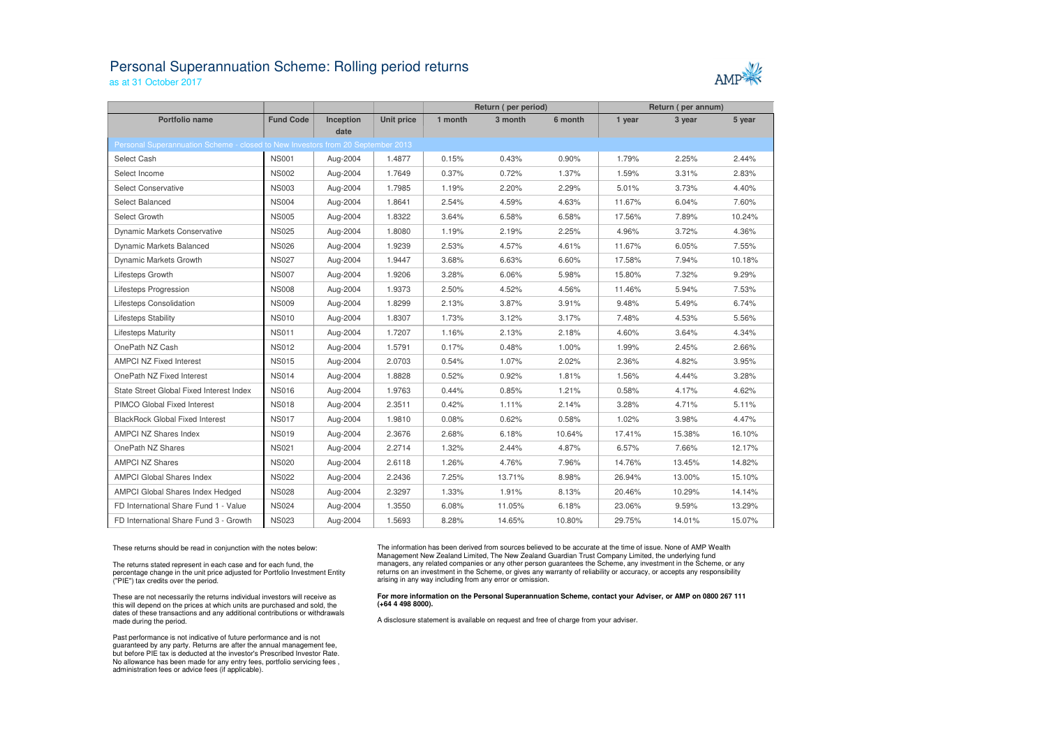## Personal Superannuation Scheme: Rolling period returnsas at 31 October 2017



|                                                                                 |                  |           |                   | Return (per period) |         |         | Return (per annum) |        |        |
|---------------------------------------------------------------------------------|------------------|-----------|-------------------|---------------------|---------|---------|--------------------|--------|--------|
| <b>Portfolio name</b>                                                           | <b>Fund Code</b> | Inception | <b>Unit price</b> | 1 month             | 3 month | 6 month | 1 year             | 3 year | 5 year |
|                                                                                 |                  | date      |                   |                     |         |         |                    |        |        |
| Personal Superannuation Scheme - closed to New Investors from 20 September 2013 |                  |           |                   |                     |         |         |                    |        |        |
| Select Cash                                                                     | <b>NS001</b>     | Aug-2004  | 1.4877            | 0.15%               | 0.43%   | 0.90%   | 1.79%              | 2.25%  | 2.44%  |
| Select Income                                                                   | <b>NS002</b>     | Aug-2004  | 1.7649            | 0.37%               | 0.72%   | 1.37%   | 1.59%              | 3.31%  | 2.83%  |
| <b>Select Conservative</b>                                                      | <b>NS003</b>     | Aug-2004  | 1.7985            | 1.19%               | 2.20%   | 2.29%   | 5.01%              | 3.73%  | 4.40%  |
| Select Balanced                                                                 | <b>NS004</b>     | Aug-2004  | 1.8641            | 2.54%               | 4.59%   | 4.63%   | 11.67%             | 6.04%  | 7.60%  |
| Select Growth                                                                   | <b>NS005</b>     | Aug-2004  | 1.8322            | 3.64%               | 6.58%   | 6.58%   | 17.56%             | 7.89%  | 10.24% |
| Dynamic Markets Conservative                                                    | <b>NS025</b>     | Aug-2004  | 1.8080            | 1.19%               | 2.19%   | 2.25%   | 4.96%              | 3.72%  | 4.36%  |
| Dynamic Markets Balanced                                                        | <b>NS026</b>     | Aug-2004  | 1.9239            | 2.53%               | 4.57%   | 4.61%   | 11.67%             | 6.05%  | 7.55%  |
| Dynamic Markets Growth                                                          | <b>NS027</b>     | Aug-2004  | 1.9447            | 3.68%               | 6.63%   | 6.60%   | 17.58%             | 7.94%  | 10.18% |
| Lifesteps Growth                                                                | <b>NS007</b>     | Aug-2004  | 1.9206            | 3.28%               | 6.06%   | 5.98%   | 15.80%             | 7.32%  | 9.29%  |
| Lifesteps Progression                                                           | <b>NS008</b>     | Aug-2004  | 1.9373            | 2.50%               | 4.52%   | 4.56%   | 11.46%             | 5.94%  | 7.53%  |
| <b>Lifesteps Consolidation</b>                                                  | <b>NS009</b>     | Aug-2004  | 1.8299            | 2.13%               | 3.87%   | 3.91%   | 9.48%              | 5.49%  | 6.74%  |
| Lifesteps Stability                                                             | <b>NS010</b>     | Aug-2004  | 1.8307            | 1.73%               | 3.12%   | 3.17%   | 7.48%              | 4.53%  | 5.56%  |
| <b>Lifesteps Maturity</b>                                                       | <b>NS011</b>     | Aug-2004  | 1.7207            | 1.16%               | 2.13%   | 2.18%   | 4.60%              | 3.64%  | 4.34%  |
| OnePath NZ Cash                                                                 | <b>NS012</b>     | Aug-2004  | 1.5791            | 0.17%               | 0.48%   | 1.00%   | 1.99%              | 2.45%  | 2.66%  |
| <b>AMPCI NZ Fixed Interest</b>                                                  | <b>NS015</b>     | Aug-2004  | 2.0703            | 0.54%               | 1.07%   | 2.02%   | 2.36%              | 4.82%  | 3.95%  |
| OnePath NZ Fixed Interest                                                       | <b>NS014</b>     | Aug-2004  | 1.8828            | 0.52%               | 0.92%   | 1.81%   | 1.56%              | 4.44%  | 3.28%  |
| State Street Global Fixed Interest Index                                        | <b>NS016</b>     | Aug-2004  | 1.9763            | 0.44%               | 0.85%   | 1.21%   | 0.58%              | 4.17%  | 4.62%  |
| PIMCO Global Fixed Interest                                                     | <b>NS018</b>     | Aug-2004  | 2.3511            | 0.42%               | 1.11%   | 2.14%   | 3.28%              | 4.71%  | 5.11%  |
| <b>BlackRock Global Fixed Interest</b>                                          | <b>NS017</b>     | Aug-2004  | 1.9810            | 0.08%               | 0.62%   | 0.58%   | 1.02%              | 3.98%  | 4.47%  |
| AMPCI NZ Shares Index                                                           | <b>NS019</b>     | Aug-2004  | 2.3676            | 2.68%               | 6.18%   | 10.64%  | 17.41%             | 15.38% | 16.10% |
| OnePath NZ Shares                                                               | <b>NS021</b>     | Aug-2004  | 2.2714            | 1.32%               | 2.44%   | 4.87%   | 6.57%              | 7.66%  | 12.17% |
| <b>AMPCI NZ Shares</b>                                                          | <b>NS020</b>     | Aug-2004  | 2.6118            | 1.26%               | 4.76%   | 7.96%   | 14.76%             | 13.45% | 14.82% |
| <b>AMPCI Global Shares Index</b>                                                | <b>NS022</b>     | Aug-2004  | 2.2436            | 7.25%               | 13.71%  | 8.98%   | 26.94%             | 13.00% | 15.10% |
| <b>AMPCI Global Shares Index Hedged</b>                                         | <b>NS028</b>     | Aug-2004  | 2.3297            | 1.33%               | 1.91%   | 8.13%   | 20.46%             | 10.29% | 14.14% |
| FD International Share Fund 1 - Value                                           | <b>NS024</b>     | Aug-2004  | 1.3550            | 6.08%               | 11.05%  | 6.18%   | 23.06%             | 9.59%  | 13.29% |
| FD International Share Fund 3 - Growth                                          | <b>NS023</b>     | Aug-2004  | 1.5693            | 8.28%               | 14.65%  | 10.80%  | 29.75%             | 14.01% | 15.07% |

These returns should be read in conjunction with the notes below:

The returns stated represent in each case and for each fund, the percentage change in the unit price adjusted for Portfolio Investment Entity ("PIE") tax credits over the period.

These are not necessarily the returns individual investors will receive as this will depend on the prices at which units are purchased and sold, the dates of these transactions and any additional contributions or withdrawals made during the period.

Past performance is not indicative of future performance and is not guaranteed by any party. Returns are after the annual management fee, but before PIE tax is deducted at the investor's Prescribed Investor Rate. No allowance has been made for any entry fees, portfolio servicing fees , administration fees or advice fees (if applicable).

The information has been derived from sources believed to be accurate at the time of issue. None of AMP Wealth Management New Zealand Limited, The New Zealand Guardian Trust Company Limited, the underlying fund managers, any related companies or any other person guarantees the Scheme, any investment in the Scheme, or any returns on an investment in the Scheme, or gives any warranty of reliability or accuracy, or accepts any responsibility arising in any way including from any error or omission.

## **For more information on the Personal Superannuation Scheme, contact your Adviser, or AMP on 0800 267 111 (+64 4 498 8000).**

A disclosure statement is available on request and free of charge from your adviser.